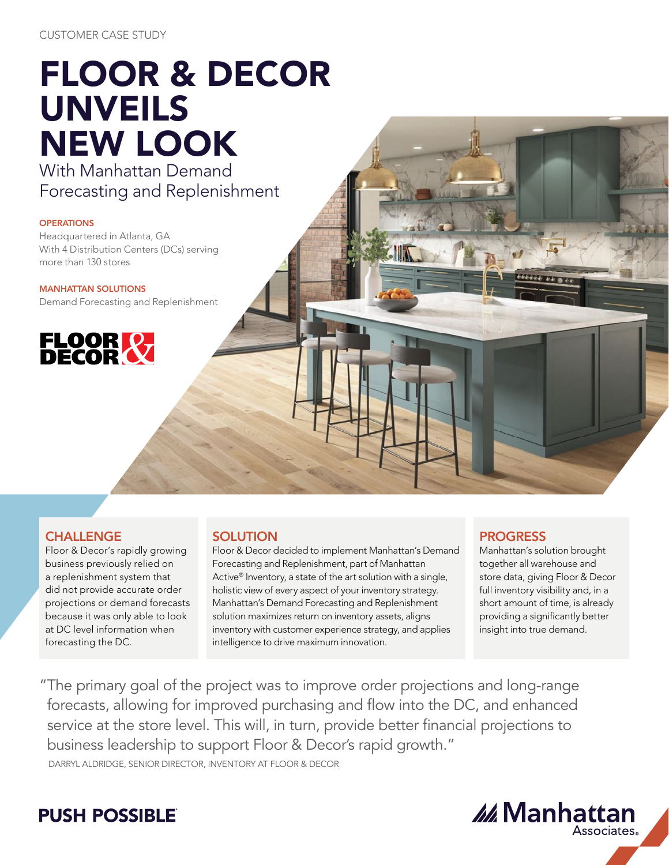# FLOOR & DECOR UNVEILS NEW LOOK With Manhattan Demand

Forecasting and Replenishment

#### **OPERATIONS**

Headquartered in Atlanta, GA With 4 Distribution Centers (DCs) serving more than 130 stores

MANHATTAN SOLUTIONS Demand Forecasting and Replenishment



### **CHALLENGE**

Floor & Decor's rapidly growing business previously relied on a replenishment system that did not provide accurate order projections or demand forecasts because it was only able to look at DC level information when forecasting the DC.

### **SOLUTION**

Floor & Decor decided to implement Manhattan's Demand Forecasting and Replenishment, part of Manhattan Active<sup>®</sup> Inventory, a state of the art solution with a single, holistic view of every aspect of your inventory strategy. Manhattan's Demand Forecasting and Replenishment solution maximizes return on inventory assets, aligns inventory with customer experience strategy, and applies intelligence to drive maximum innovation.

### PROGRESS

Manhattan's solution brought together all warehouse and store data, giving Floor & Decor full inventory visibility and, in a short amount of time, is already providing a significantly better insight into true demand.

"The primary goal of the project was to improve order projections and long-range forecasts, allowing for improved purchasing and flow into the DC, and enhanced service at the store level. This will, in turn, provide better financial projections to business leadership to support Floor & Decor's rapid growth." DARRYL ALDRIDGE, SENIOR DIRECTOR, INVENTORY AT FLOOR & DECOR

## **PUSH POSSIBLE**

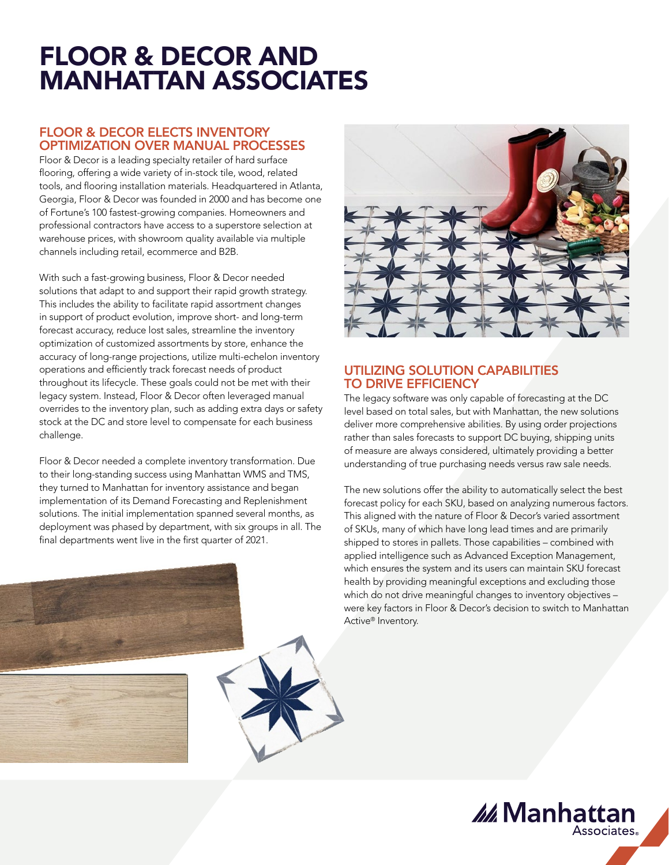# FLOOR & DECOR AND MANHATTAN ASSOCIATES

### FLOOR & DECOR ELECTS INVENTORY OPTIMIZATION OVER MANUAL PROCESSES

Floor & Decor is a leading specialty retailer of hard surface flooring, offering a wide variety of in-stock tile, wood, related tools, and flooring installation materials. Headquartered in Atlanta, Georgia, Floor & Decor was founded in 2000 and has become one of Fortune's 100 fastest-growing companies. Homeowners and professional contractors have access to a superstore selection at warehouse prices, with showroom quality available via multiple channels including retail, ecommerce and B2B.

With such a fast-growing business, Floor & Decor needed solutions that adapt to and support their rapid growth strategy. This includes the ability to facilitate rapid assortment changes in support of product evolution, improve short- and long-term forecast accuracy, reduce lost sales, streamline the inventory optimization of customized assortments by store, enhance the accuracy of long-range projections, utilize multi-echelon inventory operations and efficiently track forecast needs of product throughout its lifecycle. These goals could not be met with their legacy system. Instead, Floor & Decor often leveraged manual overrides to the inventory plan, such as adding extra days or safety stock at the DC and store level to compensate for each business challenge.

Floor & Decor needed a complete inventory transformation. Due to their long-standing success using Manhattan WMS and TMS, they turned to Manhattan for inventory assistance and began implementation of its Demand Forecasting and Replenishment solutions. The initial implementation spanned several months, as deployment was phased by department, with six groups in all. The final departments went live in the first quarter of 2021.



### UTILIZING SOLUTION CAPABILITIES TO DRIVE EFFICIENCY

The legacy software was only capable of forecasting at the DC level based on total sales, but with Manhattan, the new solutions deliver more comprehensive abilities. By using order projections rather than sales forecasts to support DC buying, shipping units of measure are always considered, ultimately providing a better understanding of true purchasing needs versus raw sale needs.

The new solutions offer the ability to automatically select the best forecast policy for each SKU, based on analyzing numerous factors. This aligned with the nature of Floor & Decor's varied assortment of SKUs, many of which have long lead times and are primarily shipped to stores in pallets. Those capabilities – combined with applied intelligence such as Advanced Exception Management, which ensures the system and its users can maintain SKU forecast health by providing meaningful exceptions and excluding those which do not drive meaningful changes to inventory objectives – were key factors in Floor & Decor's decision to switch to Manhattan Active® Inventory.